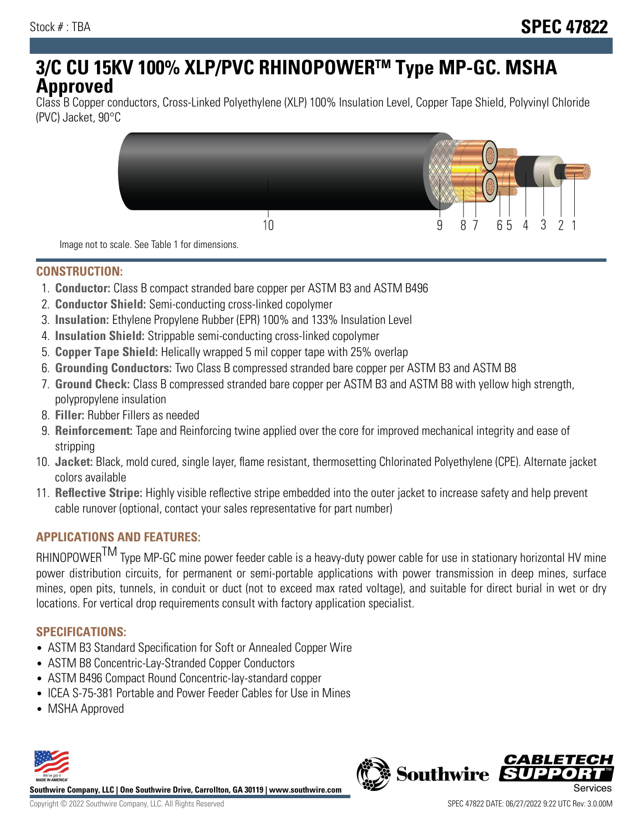# **3/C CU 15KV 100% XLP/PVC RHINOPOWERTM Type MP-GC. MSHA Approved**

Class B Copper conductors, Cross-Linked Polyethylene (XLP) 100% Insulation Level, Copper Tape Shield, Polyvinyl Chloride (PVC) Jacket, 90°C



Image not to scale. See Table 1 for dimensions.

#### **CONSTRUCTION:**

- 1. **Conductor:** Class B compact stranded bare copper per ASTM B3 and ASTM B496
- 2. **Conductor Shield:** Semi-conducting cross-linked copolymer
- 3. **Insulation:** Ethylene Propylene Rubber (EPR) 100% and 133% Insulation Level
- 4. **Insulation Shield:** Strippable semi-conducting cross-linked copolymer
- 5. **Copper Tape Shield:** Helically wrapped 5 mil copper tape with 25% overlap
- 6. **Grounding Conductors:** Two Class B compressed stranded bare copper per ASTM B3 and ASTM B8
- 7. **Ground Check:** Class B compressed stranded bare copper per ASTM B3 and ASTM B8 with yellow high strength, polypropylene insulation
- 8. **Filler:** Rubber Fillers as needed
- 9. **Reinforcement:** Tape and Reinforcing twine applied over the core for improved mechanical integrity and ease of stripping
- 10. **Jacket:** Black, mold cured, single layer, flame resistant, thermosetting Chlorinated Polyethylene (CPE). Alternate jacket colors available
- 11. **Reflective Stripe:** Highly visible reflective stripe embedded into the outer jacket to increase safety and help prevent cable runover (optional, contact your sales representative for part number)

#### **APPLICATIONS AND FEATURES:**

RHINOPOWER<sup>TM</sup> Type MP-GC mine power feeder cable is a heavy-duty power cable for use in stationary horizontal HV mine power distribution circuits, for permanent or semi-portable applications with power transmission in deep mines, surface mines, open pits, tunnels, in conduit or duct (not to exceed max rated voltage), and suitable for direct burial in wet or dry locations. For vertical drop requirements consult with factory application specialist.

#### **SPECIFICATIONS:**

- ASTM B3 Standard Specification for Soft or Annealed Copper Wire
- ASTM B8 Concentric-Lay-Stranded Copper Conductors
- ASTM B496 Compact Round Concentric-lay-standard copper
- ICEA S-75-381 Portable and Power Feeder Cables for Use in Mines
- MSHA Approved



**Southwire Company, LLC | One Southwire Drive, Carrollton, GA 30119 | www.southwire.com**

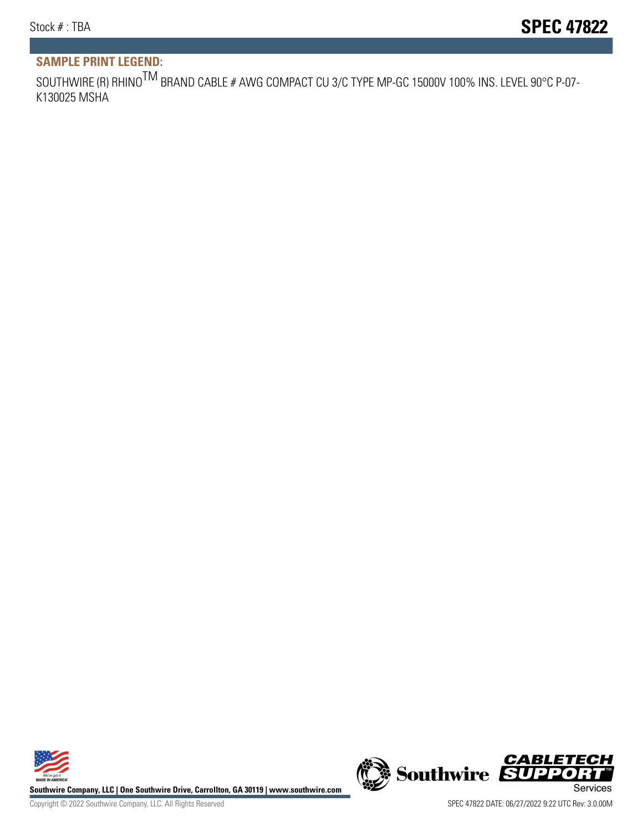## **SAMPLE PRINT LEGEND:**

SOUTHWIRE (R) RHINO<sup>TM</sup> BRAND CABLE # AWG COMPACT CU 3/C TYPE MP-GC 15000V 100% INS. LEVEL 90°C P-07-K130025 MSHA